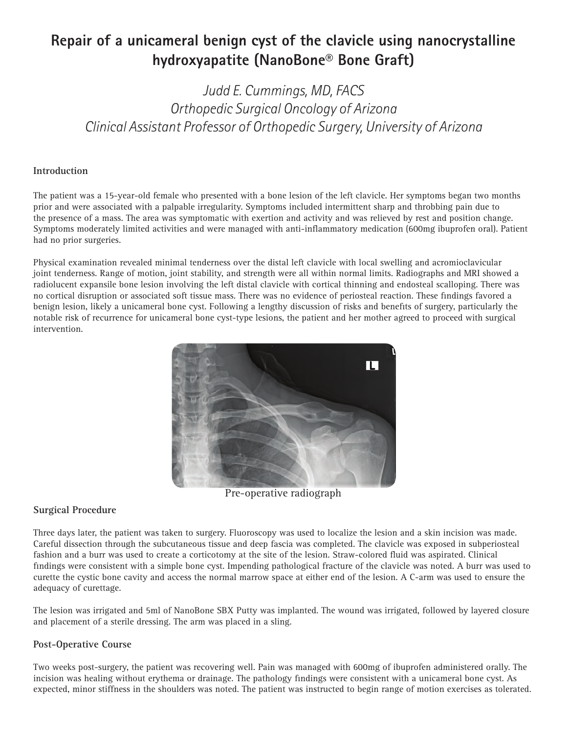## **Repair of a unicameral benign cyst of the clavicle using nanocrystalline hydroxyapatite (NanoBone® Bone Graft)**

*Judd E. Cummings, MD, FACS Orthopedic Surgical Oncology of Arizona Clinical Assistant Professor of Orthopedic Surgery, University of Arizona*

## **Introduction**

The patient was a 15-year-old female who presented with a bone lesion of the left clavicle. Her symptoms began two months prior and were associated with a palpable irregularity. Symptoms included intermittent sharp and throbbing pain due to the presence of a mass. The area was symptomatic with exertion and activity and was relieved by rest and position change. Symptoms moderately limited activities and were managed with anti-inflammatory medication (600mg ibuprofen oral). Patient had no prior surgeries.

Physical examination revealed minimal tenderness over the distal left clavicle with local swelling and acromioclavicular joint tenderness. Range of motion, joint stability, and strength were all within normal limits. Radiographs and MRI showed a radiolucent expansile bone lesion involving the left distal clavicle with cortical thinning and endosteal scalloping. There was no cortical disruption or associated soft tissue mass. There was no evidence of periosteal reaction. These findings favored a benign lesion, likely a unicameral bone cyst. Following a lengthy discussion of risks and benefits of surgery, particularly the notable risk of recurrence for unicameral bone cyst-type lesions, the patient and her mother agreed to proceed with surgical intervention.



Pre-operative radiograph

## **Surgical Procedure**

Three days later, the patient was taken to surgery. Fluoroscopy was used to localize the lesion and a skin incision was made. Careful dissection through the subcutaneous tissue and deep fascia was completed. The clavicle was exposed in subperiosteal fashion and a burr was used to create a corticotomy at the site of the lesion. Straw-colored fluid was aspirated. Clinical findings were consistent with a simple bone cyst. Impending pathological fracture of the clavicle was noted. A burr was used to curette the cystic bone cavity and access the normal marrow space at either end of the lesion. A C-arm was used to ensure the adequacy of curettage.

The lesion was irrigated and 5ml of NanoBone SBX Putty was implanted. The wound was irrigated, followed by layered closure and placement of a sterile dressing. The arm was placed in a sling.

## **Post-Operative Course**

Two weeks post-surgery, the patient was recovering well. Pain was managed with 600mg of ibuprofen administered orally. The incision was healing without erythema or drainage. The pathology findings were consistent with a unicameral bone cyst. As expected, minor stiffness in the shoulders was noted. The patient was instructed to begin range of motion exercises as tolerated.